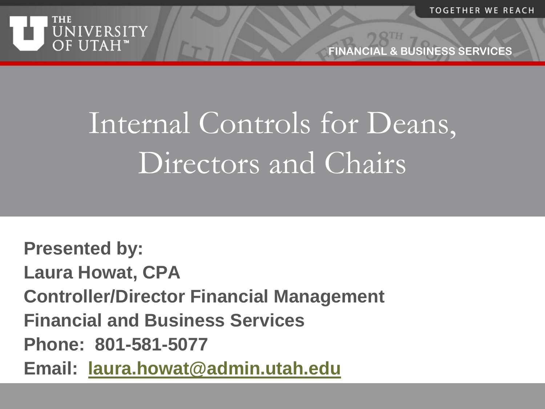



# Internal Controls for Deans, Directors and Chairs

**Presented by: Laura Howat, CPA Controller/Director Financial Management Financial and Business Services Phone: 801-581-5077 Email: [laura.howat@admin.utah.edu](mailto:laura.howat@admin.utah.edu)**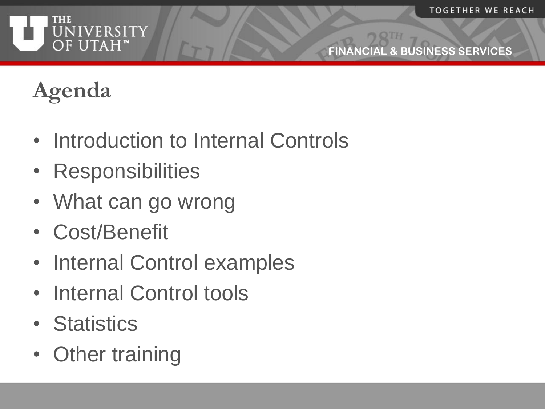

# **Agenda**

- Introduction to Internal Controls
- Responsibilities
- What can go wrong
- Cost/Benefit
- Internal Control examples
- Internal Control tools
- Statistics
- Other training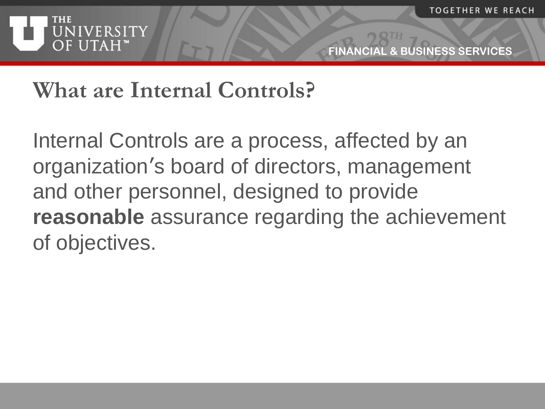

#### **What are Internal Controls?**

Internal Controls are a process, affected by an organization's board of directors, management and other personnel, designed to provide **reasonable** assurance regarding the achievement of objectives.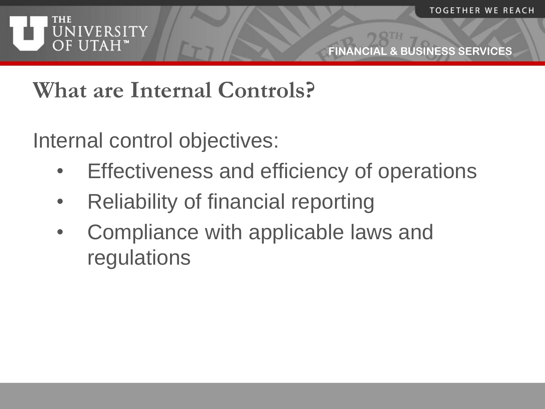

#### **What are Internal Controls?**

Internal control objectives:

- Effectiveness and efficiency of operations
- Reliability of financial reporting
- Compliance with applicable laws and regulations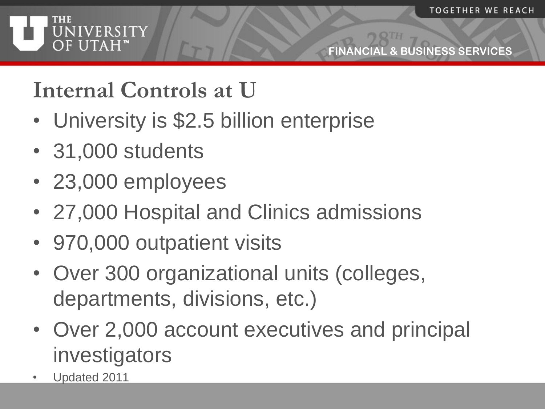

#### **Internal Controls at U**

- University is \$2.5 billion enterprise
- 31,000 students
- 23,000 employees
- 27,000 Hospital and Clinics admissions
- 970,000 outpatient visits
- Over 300 organizational units (colleges, departments, divisions, etc.)
- Over 2,000 account executives and principal investigators
- Updated 2011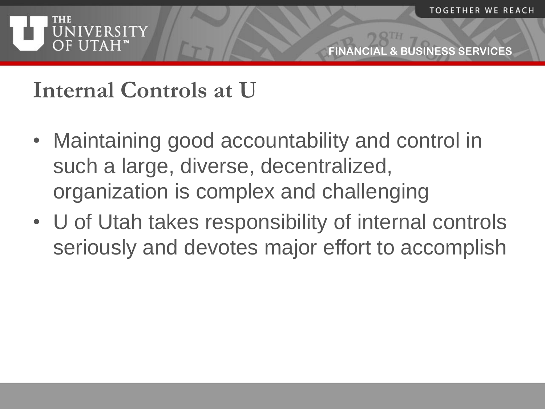

#### **Internal Controls at U**

- Maintaining good accountability and control in such a large, diverse, decentralized, organization is complex and challenging
- U of Utah takes responsibility of internal controls seriously and devotes major effort to accomplish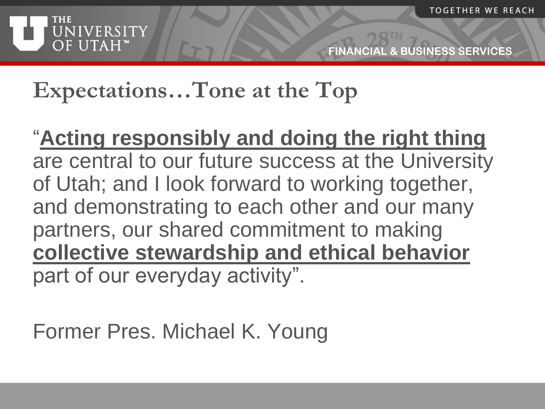

# **Expectations…Tone at the Top**

#### "**Acting responsibly and doing the right thing**  are central to our future success at the University of Utah; and I look forward to working together, and demonstrating to each other and our many partners, our shared commitment to making **collective stewardship and ethical behavior**  part of our everyday activity".

Former Pres. Michael K. Young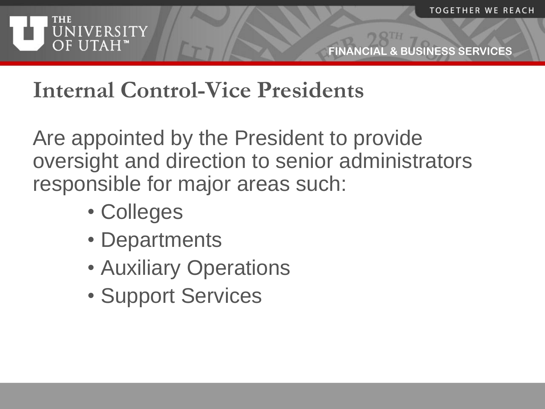

### **Internal Control-Vice Presidents**

Are appointed by the President to provide oversight and direction to senior administrators responsible for major areas such:

- Colleges
- Departments
- Auxiliary Operations
- Support Services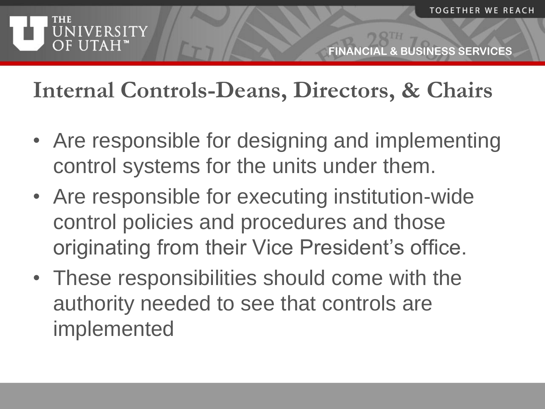

#### **Internal Controls-Deans, Directors, & Chairs**

- Are responsible for designing and implementing control systems for the units under them.
- Are responsible for executing institution-wide control policies and procedures and those originating from their Vice President's office.
- These responsibilities should come with the authority needed to see that controls are implemented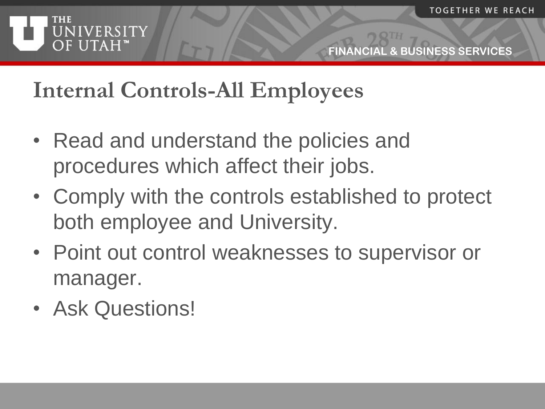

### **Internal Controls-All Employees**

- Read and understand the policies and procedures which affect their jobs.
- Comply with the controls established to protect both employee and University.
- Point out control weaknesses to supervisor or manager.
- Ask Questions!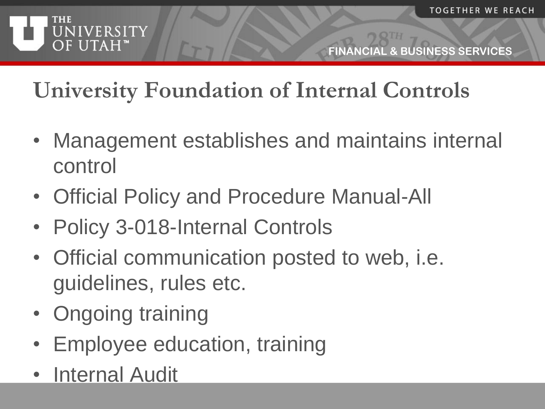

# **University Foundation of Internal Controls**

- Management establishes and maintains internal control
- Official Policy and Procedure Manual-All
- Policy 3-018-Internal Controls
- Official communication posted to web, i.e. guidelines, rules etc.
- Ongoing training
- Employee education, training
- Internal Audit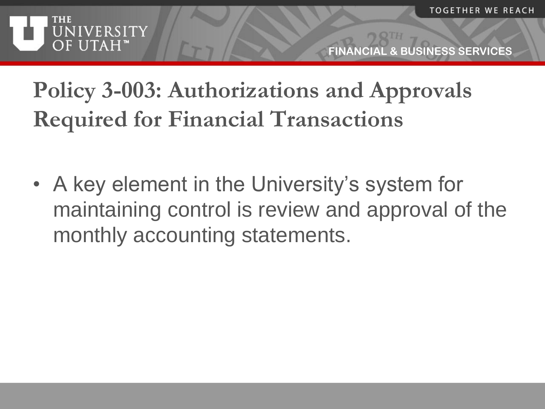

# **Policy 3-003: Authorizations and Approvals Required for Financial Transactions**

• A key element in the University's system for maintaining control is review and approval of the monthly accounting statements.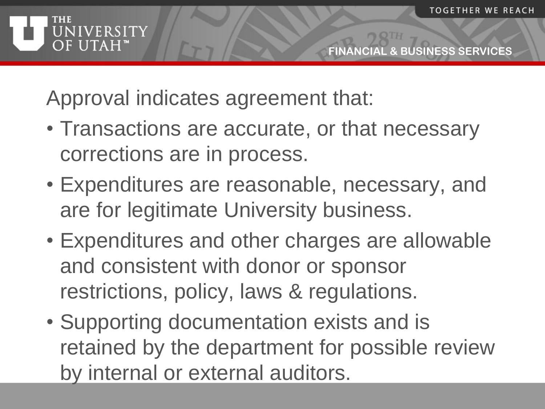

Approval indicates agreement that:

- Transactions are accurate, or that necessary corrections are in process.
- Expenditures are reasonable, necessary, and are for legitimate University business.
- Expenditures and other charges are allowable and consistent with donor or sponsor restrictions, policy, laws & regulations.
- Supporting documentation exists and is retained by the department for possible review by internal or external auditors.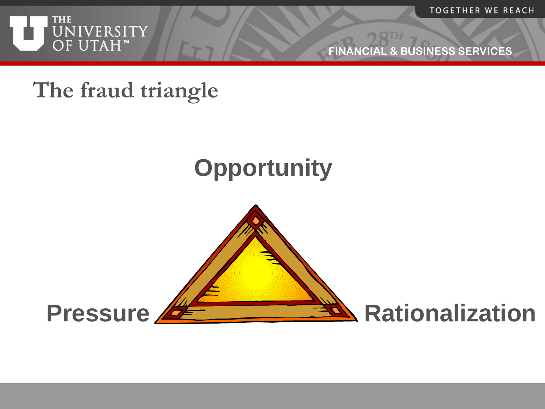

**TOGETHER WE REACH** 

**FINANCIAL & BUSINESS SERVICES**

#### **The fraud triangle**

# **Opportunity**

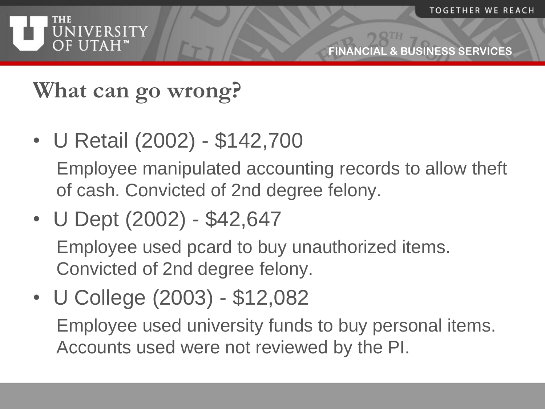

# **What can go wrong?**

• U Retail (2002) - \$142,700

Employee manipulated accounting records to allow theft of cash. Convicted of 2nd degree felony.

• U Dept (2002) - \$42,647

Employee used pcard to buy unauthorized items. Convicted of 2nd degree felony.

• U College (2003) - \$12,082 Employee used university funds to buy personal items. Accounts used were not reviewed by the PI.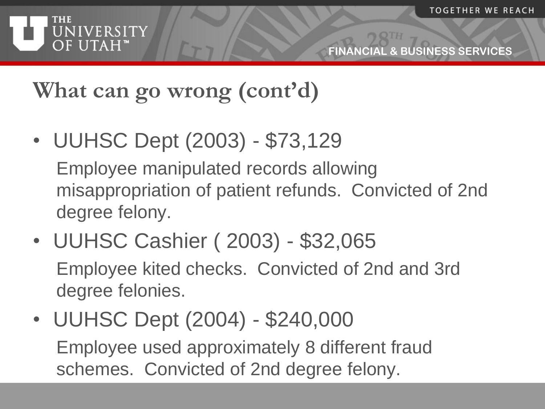

# **What can go wrong (cont'd)**

• UUHSC Dept (2003) - \$73,129

Employee manipulated records allowing misappropriation of patient refunds. Convicted of 2nd degree felony.

- UUHSC Cashier ( 2003) \$32,065 Employee kited checks. Convicted of 2nd and 3rd degree felonies.
- UUHSC Dept (2004) \$240,000 Employee used approximately 8 different fraud schemes. Convicted of 2nd degree felony.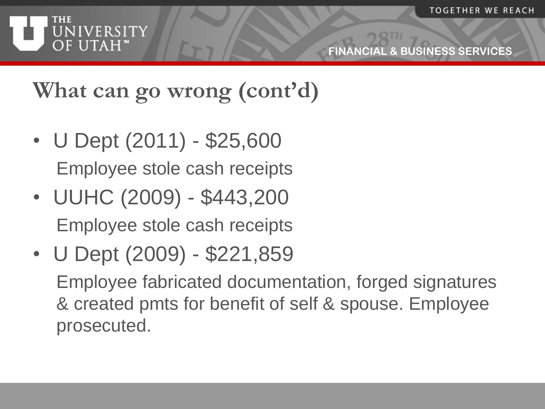

# **What can go wrong (cont'd)**

- U Dept (2011) \$25,600 Employee stole cash receipts
- UUHC (2009) \$443,200 Employee stole cash receipts
- U Dept (2009) \$221,859 Employee fabricated documentation, forged signatures & created pmts for benefit of self & spouse. Employee prosecuted.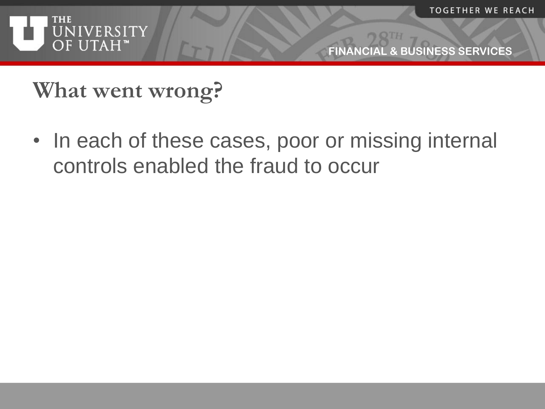

**What went wrong?**

• In each of these cases, poor or missing internal controls enabled the fraud to occur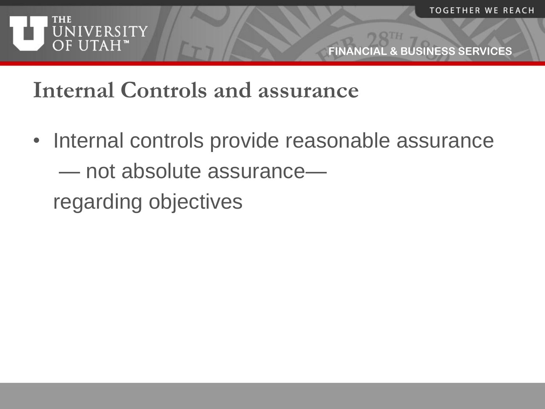



#### **Internal Controls and assurance**

• Internal controls provide reasonable assurance — not absolute assurance regarding objectives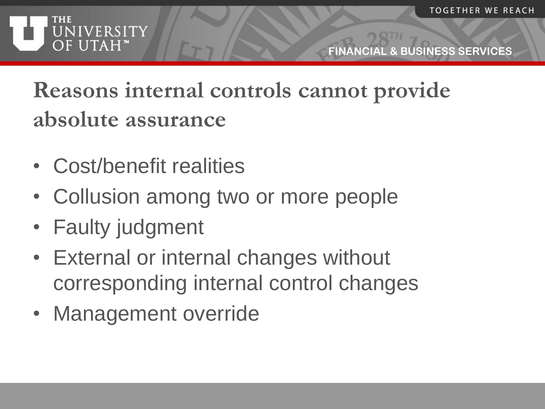

# **Reasons internal controls cannot provide absolute assurance**

- Cost/benefit realities
- Collusion among two or more people
- Faulty judgment
- External or internal changes without corresponding internal control changes
- Management override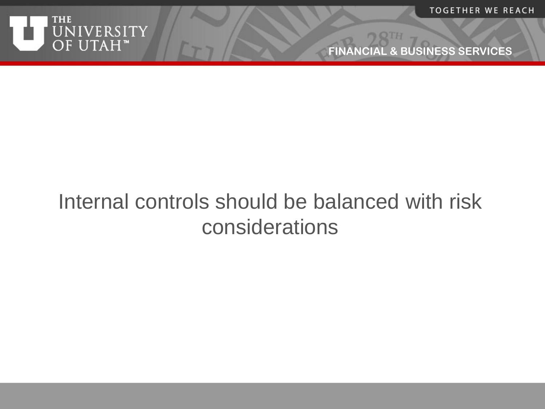

#### Internal controls should be balanced with risk considerations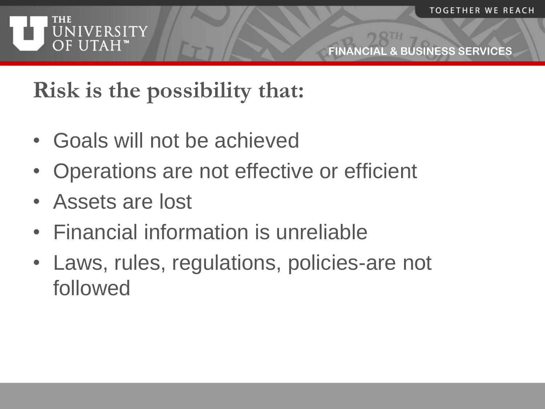

#### **Risk is the possibility that:**

- Goals will not be achieved
- Operations are not effective or efficient
- Assets are lost
- Financial information is unreliable
- Laws, rules, regulations, policies-are not followed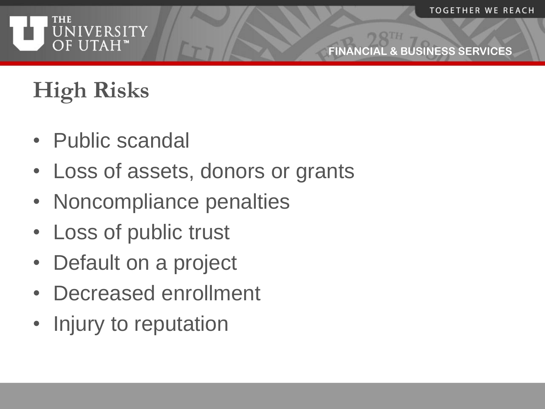

**EXANCISIONESS SERVICES** 

# **High Risks**

- Public scandal
- Loss of assets, donors or grants
- Noncompliance penalties
- Loss of public trust
- Default on a project
- Decreased enrollment
- Injury to reputation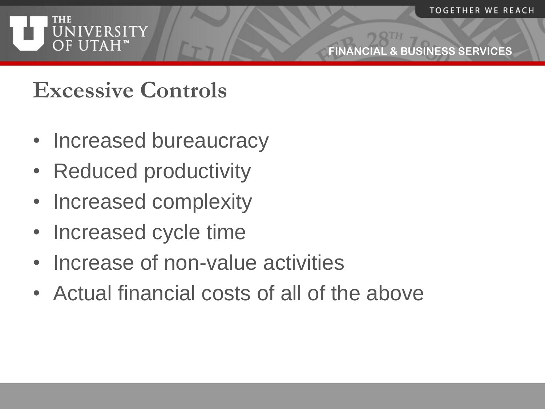

#### **Excessive Controls**

- Increased bureaucracy
- Reduced productivity
- Increased complexity
- Increased cycle time
- Increase of non-value activities
- Actual financial costs of all of the above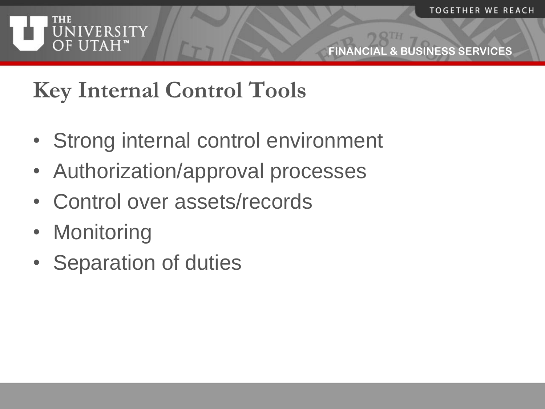#### **THE** UNIVERSITY OF UTAH"

**FINANCIAL & BUSINESS SERVICES**

# **Key Internal Control Tools**

- Strong internal control environment
- Authorization/approval processes
- Control over assets/records
- Monitoring
- Separation of duties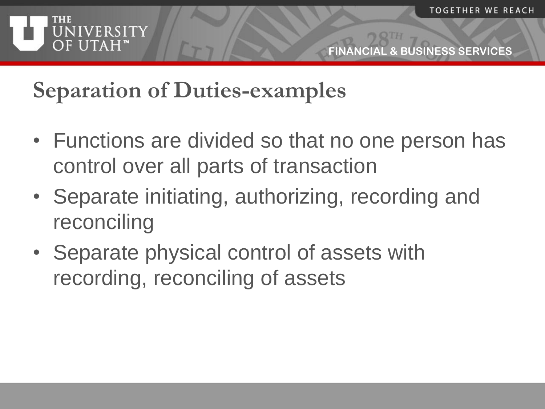

#### **Separation of Duties-examples**

- Functions are divided so that no one person has control over all parts of transaction
- Separate initiating, authorizing, recording and reconciling
- Separate physical control of assets with recording, reconciling of assets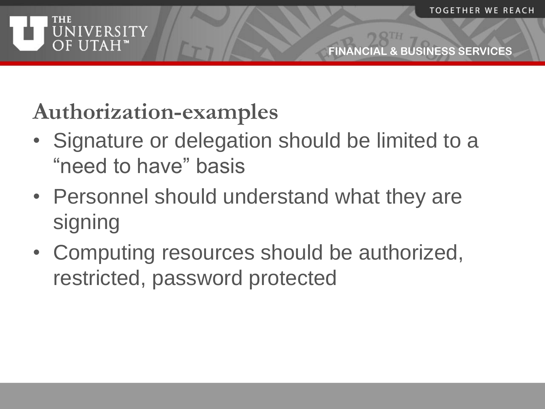

## **Authorization-examples**

- Signature or delegation should be limited to a "need to have" basis
- Personnel should understand what they are signing
- Computing resources should be authorized, restricted, password protected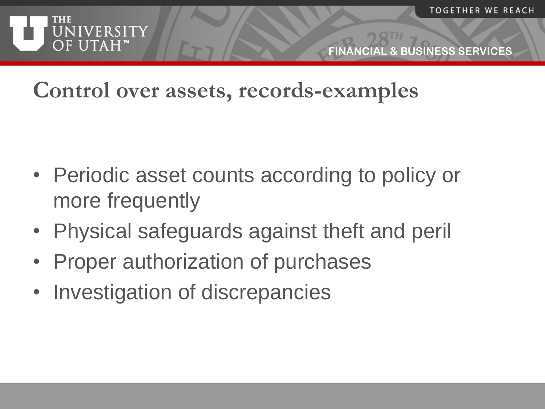

#### **Control over assets, records-examples**

- Periodic asset counts according to policy or more frequently
- Physical safeguards against theft and peril
- Proper authorization of purchases
- Investigation of discrepancies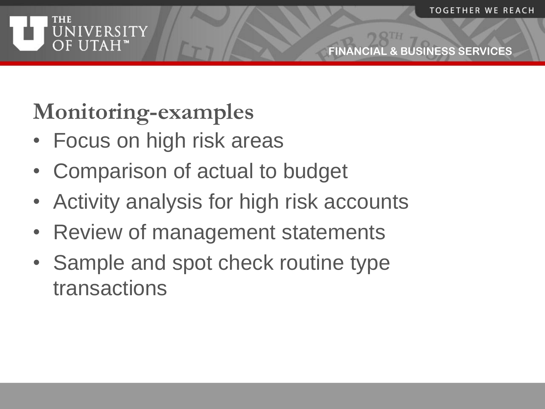

# **Monitoring-examples**

- Focus on high risk areas
- Comparison of actual to budget
- Activity analysis for high risk accounts
- Review of management statements
- Sample and spot check routine type transactions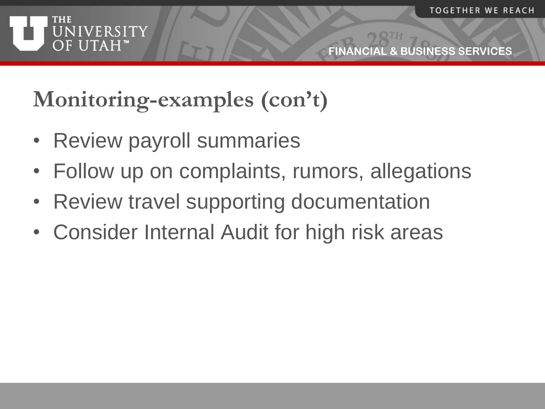

# **Monitoring-examples (con't)**

- Review payroll summaries
- Follow up on complaints, rumors, allegations
- Review travel supporting documentation
- Consider Internal Audit for high risk areas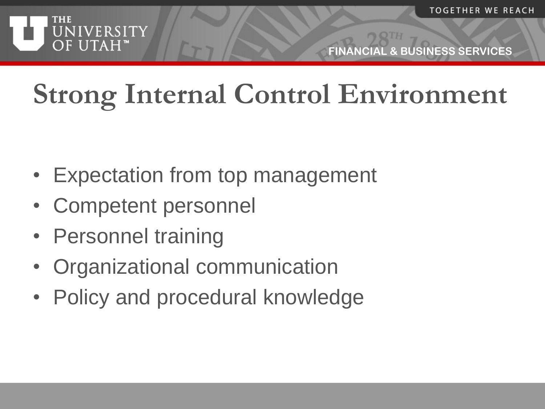

**EL & BUSINESS SERVICES** 

# **Strong Internal Control Environment**

- Expectation from top management
- Competent personnel
- Personnel training
- Organizational communication
- Policy and procedural knowledge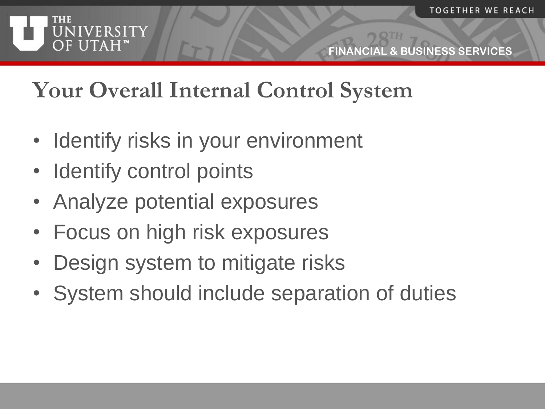

### **Your Overall Internal Control System**

- Identify risks in your environment
- Identify control points
- Analyze potential exposures
- Focus on high risk exposures
- Design system to mitigate risks
- System should include separation of duties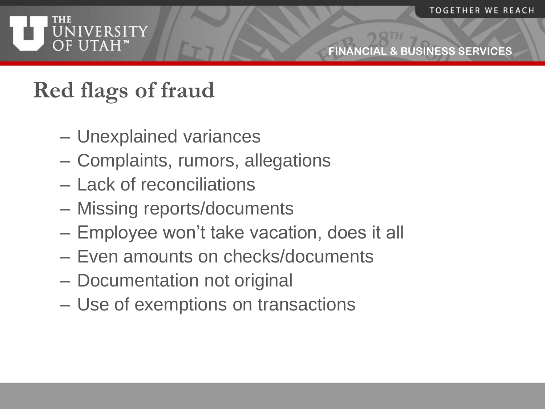

### **Red flags of fraud**

- Unexplained variances
- Complaints, rumors, allegations
- Lack of reconciliations
- Missing reports/documents
- Employee won't take vacation, does it all
- Even amounts on checks/documents
- Documentation not original
- Use of exemptions on transactions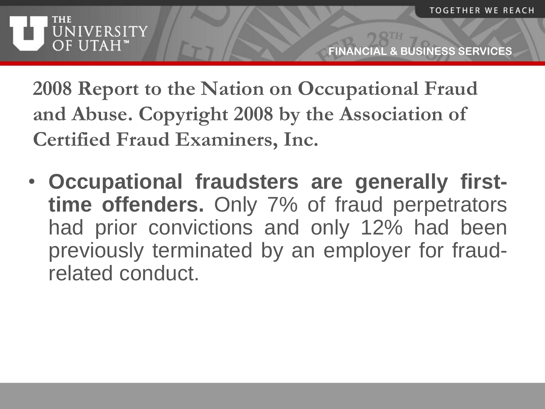

**2008 Report to the Nation on Occupational Fraud and Abuse. Copyright 2008 by the Association of Certified Fraud Examiners, Inc.**

• **Occupational fraudsters are generally firsttime offenders.** Only 7% of fraud perpetrators had prior convictions and only 12% had been previously terminated by an employer for fraudrelated conduct.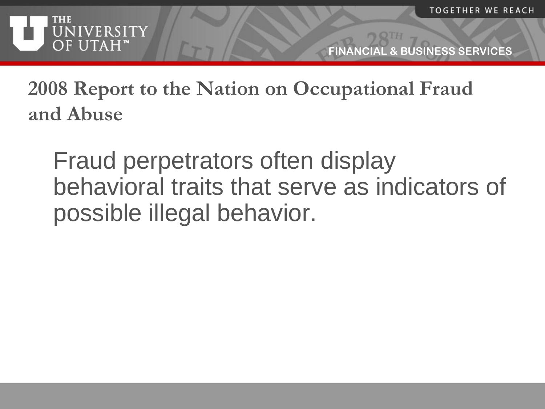

**2008 Report to the Nation on Occupational Fraud and Abuse**

Fraud perpetrators often display behavioral traits that serve as indicators of possible illegal behavior.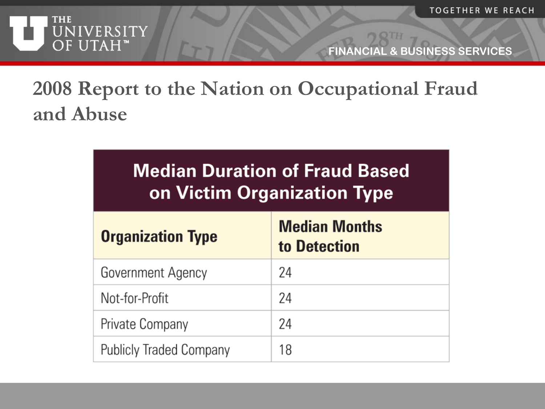

#### **2008 Report to the Nation on Occupational Fraud and Abuse**

| Median Duration of Fraud Based     |
|------------------------------------|
| <b>On Victim Organization Type</b> |

| <b>Organization Type</b>       | <b>Median Months</b><br>to Detection |
|--------------------------------|--------------------------------------|
| Government Agency              | 24                                   |
| Not-for-Profit                 | 24                                   |
| Private Company                | 24                                   |
| <b>Publicly Traded Company</b> | 18                                   |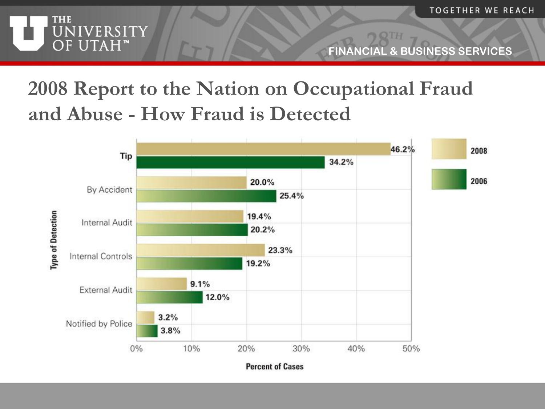

#### **2008 Report to the Nation on Occupational Fraud and Abuse - How Fraud is Detected**

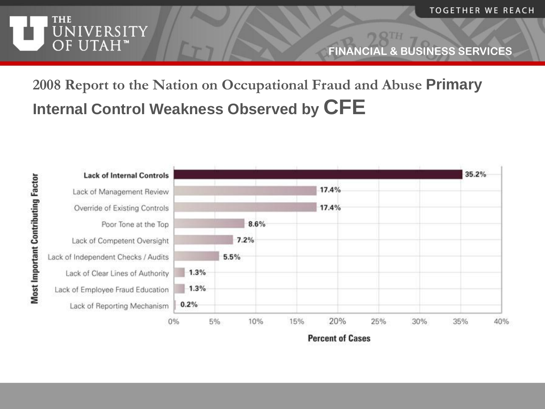

#### **2008 Report to the Nation on Occupational Fraud and Abuse Primary Internal Control Weakness Observed by CFE**

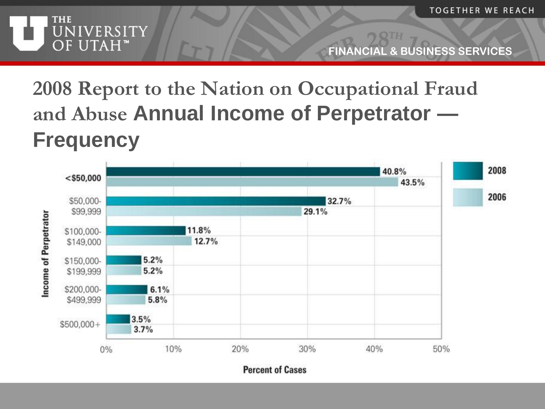



#### **2008 Report to the Nation on Occupational Fraud and Abuse Annual Income of Perpetrator — Frequency**

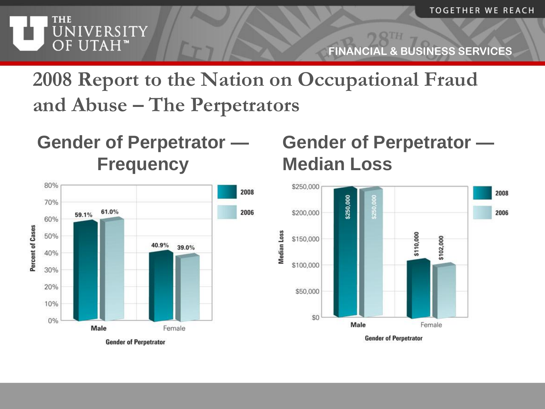

**2008 Report to the Nation on Occupational Fraud and Abuse – The Perpetrators**

**Gender of Perpetrator — Frequency**



#### **Gender of Perpetrator — Median Loss**

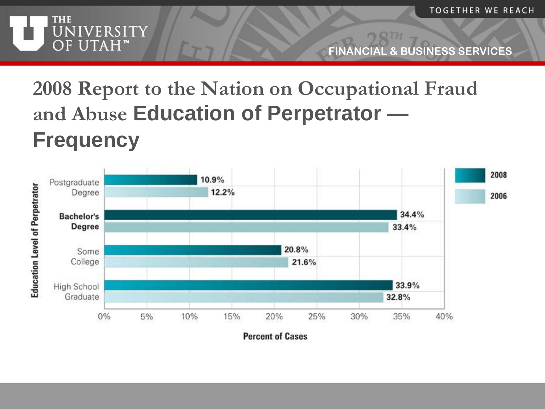

# **2008 Report to the Nation on Occupational Fraud and Abuse Education of Perpetrator —**

#### **Frequency**